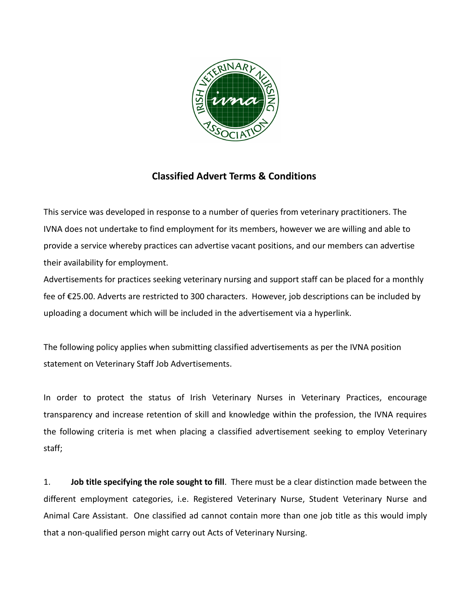

## **Classified Advert Terms & Conditions**

This service was developed in response to a number of queries from veterinary practitioners. The IVNA does not undertake to find employment for its members, however we are willing and able to provide a service whereby practices can advertise vacant positions, and our members can advertise their availability for employment.

Advertisements for practices seeking veterinary nursing and support staff can be placed for a monthly fee of €25.00. Adverts are restricted to 300 characters. However, job descriptions can be included by uploading a document which will be included in the advertisement via a hyperlink.

The following policy applies when submitting classified advertisements as per the IVNA position statement on Veterinary Staff Job Advertisements.

In order to protect the status of Irish Veterinary Nurses in Veterinary Practices, encourage transparency and increase retention of skill and knowledge within the profession, the IVNA requires the following criteria is met when placing a classified advertisement seeking to employ Veterinary staff;

1. **Job title specifying the role sought to fill**. There must be a clear distinction made between the different employment categories, i.e. Registered Veterinary Nurse, Student Veterinary Nurse and Animal Care Assistant. One classified ad cannot contain more than one job title as this would imply that a non-qualified person might carry out Acts of Veterinary Nursing.